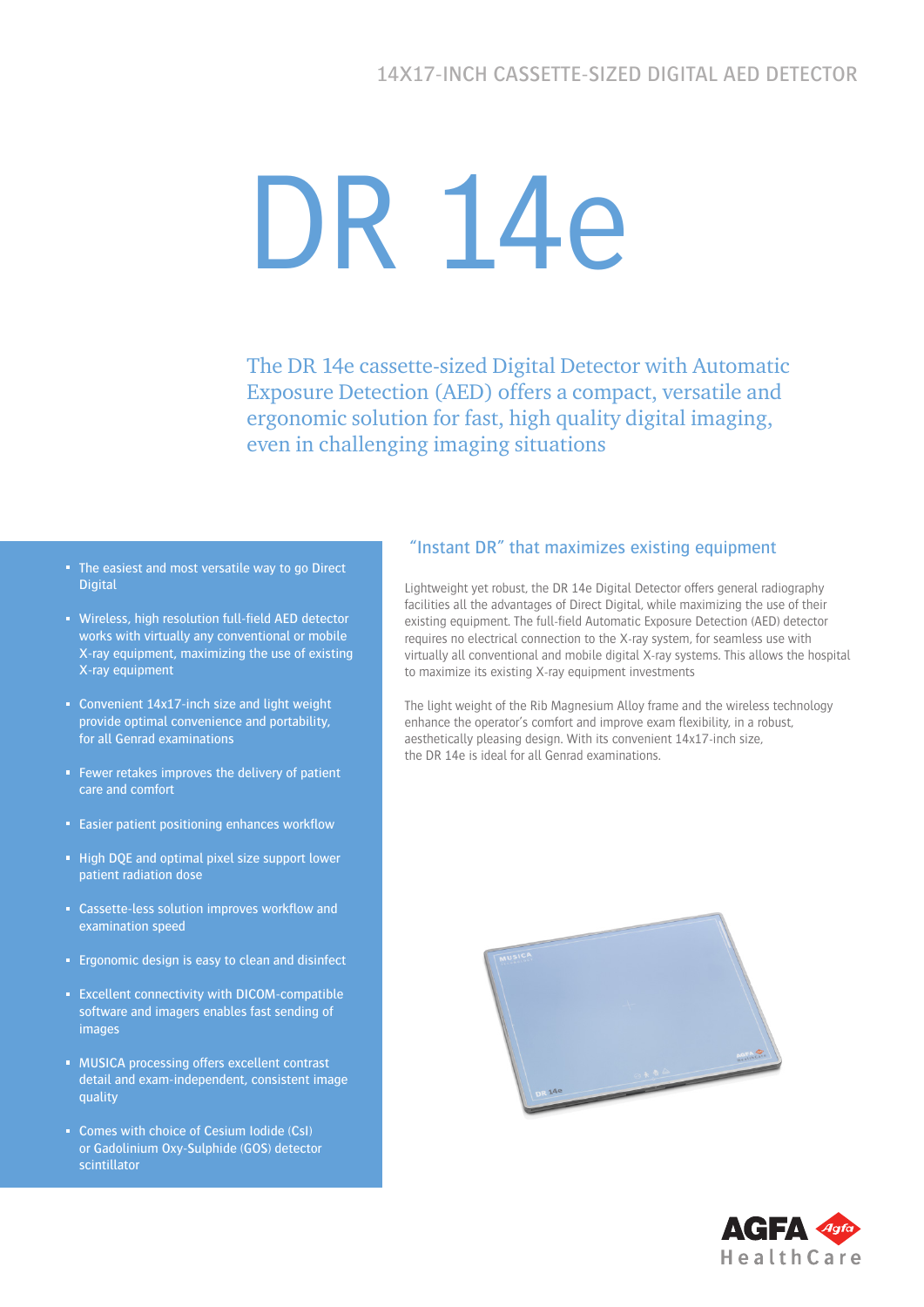# DR 14e

The DR 14e cassette-sized Digital Detector with Automatic Exposure Detection (AED) offers a compact, versatile and ergonomic solution for fast, high quality digital imaging, even in challenging imaging situations

- The easiest and most versatile way to go Direct **Digital**
- **Wireless, high resolution full-field AED detector** works with virtually any conventional or mobile X-ray equipment, maximizing the use of existing X-ray equipment
- Convenient 14x17-inch size and light weight provide optimal convenience and portability, for all Genrad examinations
- Fewer retakes improves the delivery of patient care and comfort
- **Easier patient positioning enhances workflow**
- High DQE and optimal pixel size support lower patient radiation dose
- Cassette-less solution improves workflow and examination speed
- **Expression is easy to clean and disinfect**
- **Excellent connectivity with DICOM-compatible** software and imagers enables fast sending of images
- **MUSICA processing offers excellent contrast** detail and exam-independent, consistent image quality
- Comes with choice of Cesium Iodide (CsI) or Gadolinium Oxy-Sulphide (GOS) detector scintillator

#### "Instant DR" that maximizes existing equipment

Lightweight yet robust, the DR 14e Digital Detector offers general radiography facilities all the advantages of Direct Digital, while maximizing the use of their existing equipment. The full-field Automatic Exposure Detection (AED) detector requires no electrical connection to the X-ray system, for seamless use with virtually all conventional and mobile digital X-ray systems. This allows the hospital to maximize its existing X-ray equipment investments

The light weight of the Rib Magnesium Alloy frame and the wireless technology enhance the operator's comfort and improve exam flexibility, in a robust, aesthetically pleasing design. With its convenient 14x17-inch size, the DR 14e is ideal for all Genrad examinations.



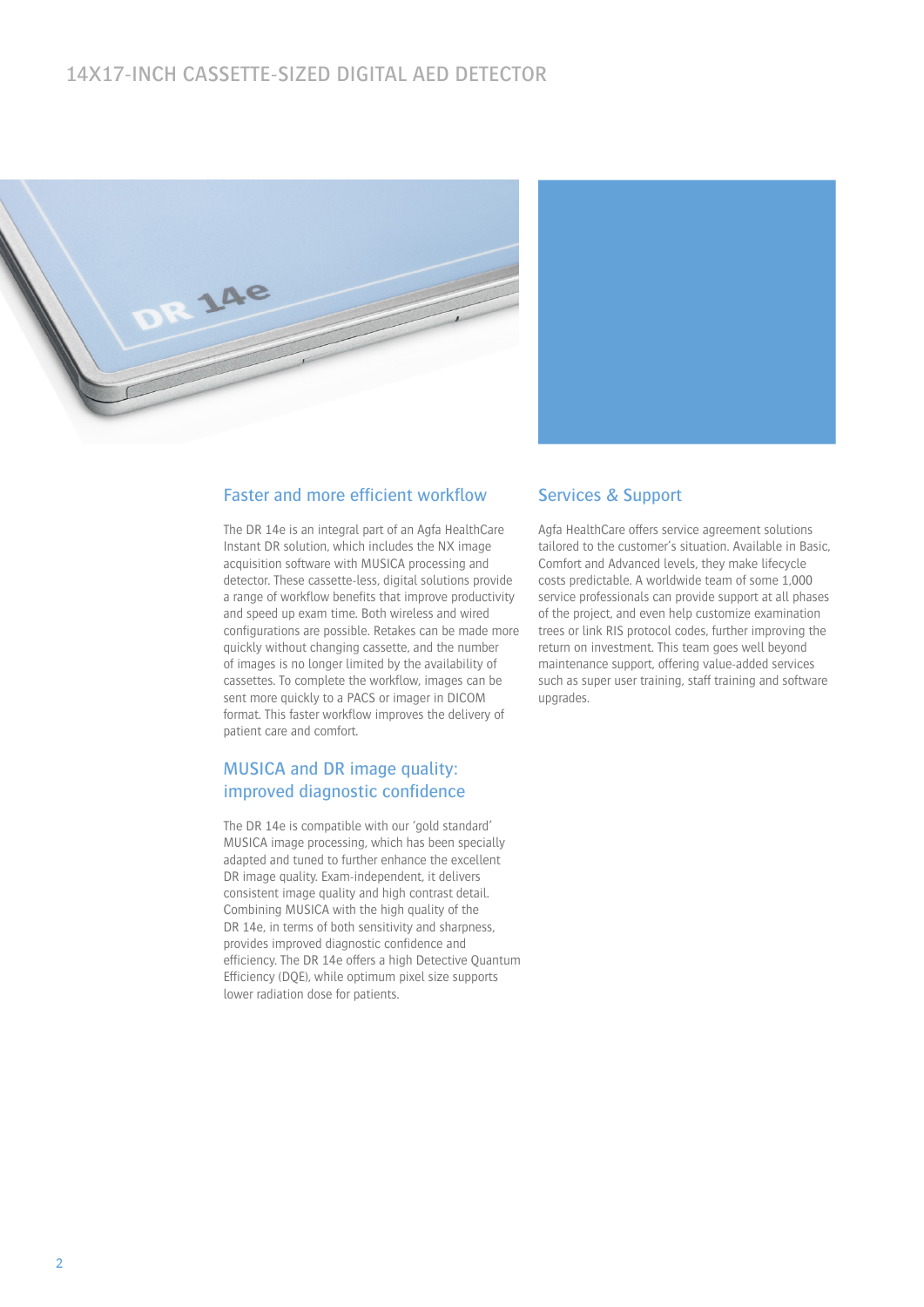# 14X17-INCH CASSETTE-SIZED DIGITAL AED DETECTOR





#### Faster and more efficient workflow

The DR 14e is an integral part of an Agfa HealthCare Instant DR solution, which includes the NX image acquisition software with MUSICA processing and detector. These cassette-less, digital solutions provide a range of workflow benefits that improve productivity and speed up exam time. Both wireless and wired configurations are possible. Retakes can be made more quickly without changing cassette, and the number of images is no longer limited by the availability of cassettes. To complete the workflow, images can be sent more quickly to a PACS or imager in DICOM format. This faster workflow improves the delivery of patient care and comfort.

#### MUSICA and DR image quality: improved diagnostic confidence

The DR 14e is compatible with our 'gold standard' MUSICA image processing, which has been specially adapted and tuned to further enhance the excellent DR image quality. Exam-independent, it delivers consistent image quality and high contrast detail. Combining MUSICA with the high quality of the DR 14e, in terms of both sensitivity and sharpness, provides improved diagnostic confidence and efficiency. The DR 14e offers a high Detective Quantum Efficiency (DQE), while optimum pixel size supports lower radiation dose for patients.

#### Services & Support

Agfa HealthCare offers service agreement solutions tailored to the customer's situation. Available in Basic, Comfort and Advanced levels, they make lifecycle costs predictable. A worldwide team of some 1,000 service professionals can provide support at all phases of the project, and even help customize examination trees or link RIS protocol codes, further improving the return on investment. This team goes well beyond maintenance support, offering value-added services such as super user training, staff training and software upgrades.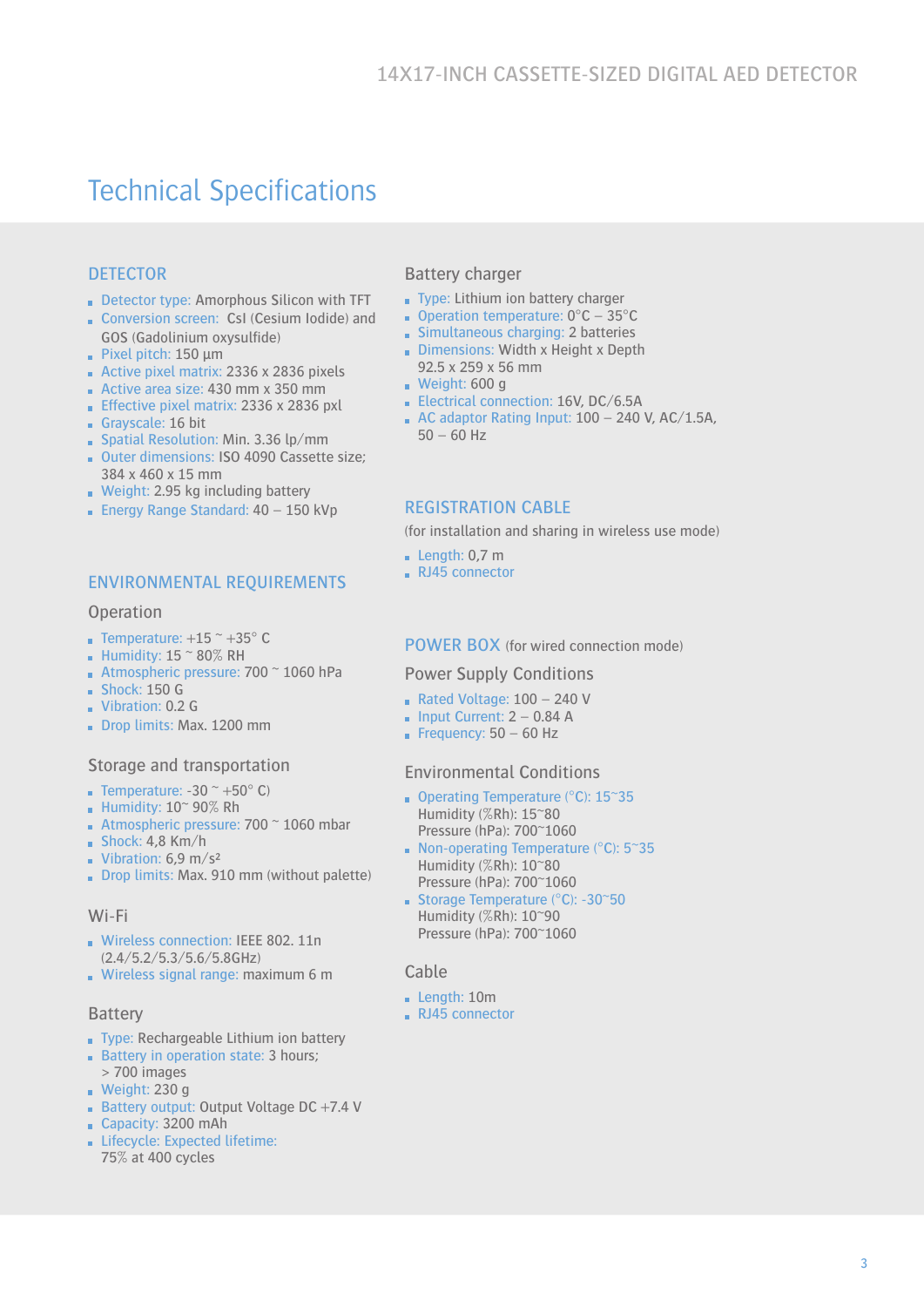# Technical Specifications

### **DETECTOR**

- Detector type: Amorphous Silicon with TFT
- Conversion screen: CsI (Cesium Iodide) and GOS (Gadolinium oxysulfide)
- Pixel pitch: 150 μm
- Active pixel matrix: 2336 x 2836 pixels
- Active area size:  $430$  mm x 350 mm
- **Effective pixel matrix: 2336 x 2836 pxl**
- Grayscale: 16 bit
- Spatial Resolution: Min. 3.36 lp/mm
- Outer dimensions: ISO 4090 Cassette size; 384 x 460 x 15 mm
- Weight: 2.95 kg including battery
- **Energy Range Standard: 40 150 kVp**

#### ENVIRONMENTAL REQUIREMENTS

#### **Operation**

- **Temperature:**  $+15$   $\degree$   $+35$  $\degree$  C
- **Humidity: 15**  $\approx$  **80% RH**
- Atmospheric pressure:  $700 \degree 1060$  hPa
- $Shock: 150 G$
- Vibration: 0.2 G
- Drop limits: Max. 1200 mm

#### Storage and transportation

- **Temperature:** -30  $\approx$  +50 $\degree$  C)
- Humidity:  $10^{\circ}$  90% Rh
- **Atmospheric pressure: 700**  $\degree$  **1060 mbar**
- $Shock: 4,8$  Km/h
- **Vibration: 6,9 m/s<sup>2</sup>**
- Drop limits: Max. 910 mm (without palette)

#### Wi-Fi

- Wireless connection: IEEE 802. 11n (2.4/5.2/5.3/5.6/5.8GHz)
- Wireless signal range: maximum 6 m

#### Battery

- Type: Rechargeable Lithium ion battery
- Battery in operation state: 3 hours;
- > 700 images Weight:  $230 g$
- **Battery output: Output Voltage DC +7.4 V**
- Capacity: 3200 mAh
- Lifecycle: Expected lifetime: 75% at 400 cycles

#### Battery charger

- Type: Lithium ion battery charger
- Operation temperature:  $0^{\circ}$ C 35 $^{\circ}$ C
- Simultaneous charging: 2 batteries
- Dimensions: Width x Height x Depth 92.5 x 259 x 56 mm
- Weight: 600 g
- Electrical connection: 16V, DC/6.5A
- $\blacksquare$  AC adaptor Rating Input: 100 240 V, AC/1.5A,  $50 - 60$  Hz

#### REGISTRATION CABLE

(for installation and sharing in wireless use mode)

- **Length: 0,7 m**
- RJ45 connector

#### POWER BOX (for wired connection mode)

#### Power Supply Conditions

- Rated Voltage: 100 240 V
- $\blacksquare$  Input Current: 2 0.84 A
- Frequency:  $50 60$  Hz

#### Environmental Conditions

- Operating Temperature (°C): 15~35 Humidity (%Rh): 15~80 Pressure (hPa): 700~1060
- Non-operating Temperature ( $°C$ ): 5~35 Humidity (%Rh): 10~80 Pressure (hPa): 700~1060
- Storage Temperature ( $°C$ ): -30 $\degree$ 50 Humidity (%Rh): 10~90 Pressure (hPa): 700~1060

#### Cable

- Length: 10m
- RJ45 connector